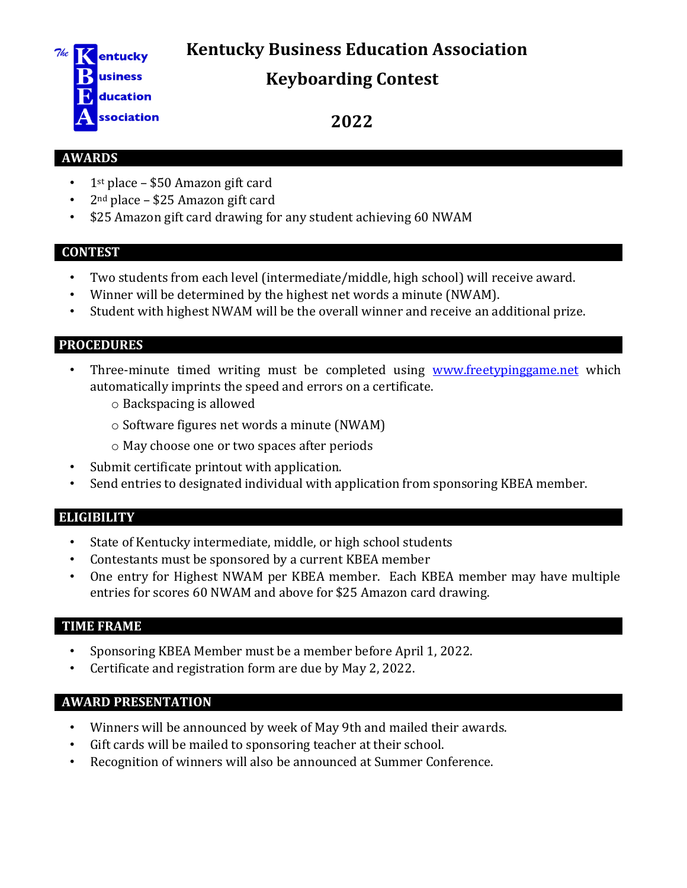**Kentucky Business Education Association** 



# **Keyboarding Contest**

**2022**

### **AWARDS**

- $\cdot$  1<sup>st</sup> place \$50 Amazon gift card
- 2nd place \$25 Amazon gift card
- \$25 Amazon gift card drawing for any student achieving 60 NWAM

### **CONTEST**

- Two students from each level (intermediate/middle, high school) will receive award.
- Winner will be determined by the highest net words a minute (NWAM).
- Student with highest NWAM will be the overall winner and receive an additional prize.

### **PROCEDURES**

- Three-minute timed writing must be completed using [www.freetypinggame.net](http://www.freetypinggame.net/) which automatically imprints the speed and errors on a certificate.
	- o Backspacing is allowed
	- o Software figures net words a minute (NWAM)
	- o May choose one or two spaces after periods
- Submit certificate printout with application.
- Send entries to designated individual with application from sponsoring KBEA member.

# **ELIGIBILITY**

- State of Kentucky intermediate, middle, or high school students
- Contestants must be sponsored by a current KBEA member
- One entry for Highest NWAM per KBEA member. Each KBEA member may have multiple entries for scores 60 NWAM and above for \$25 Amazon card drawing.

# **TIME FRAME**

- Sponsoring KBEA Member must be a member before April 1, 2022.
- Certificate and registration form are due by May 2, 2022.

# **AWARD PRESENTATION**

- Winners will be announced by week of May 9th and mailed their awards.
- Gift cards will be mailed to sponsoring teacher at their school.
- Recognition of winners will also be announced at Summer Conference.